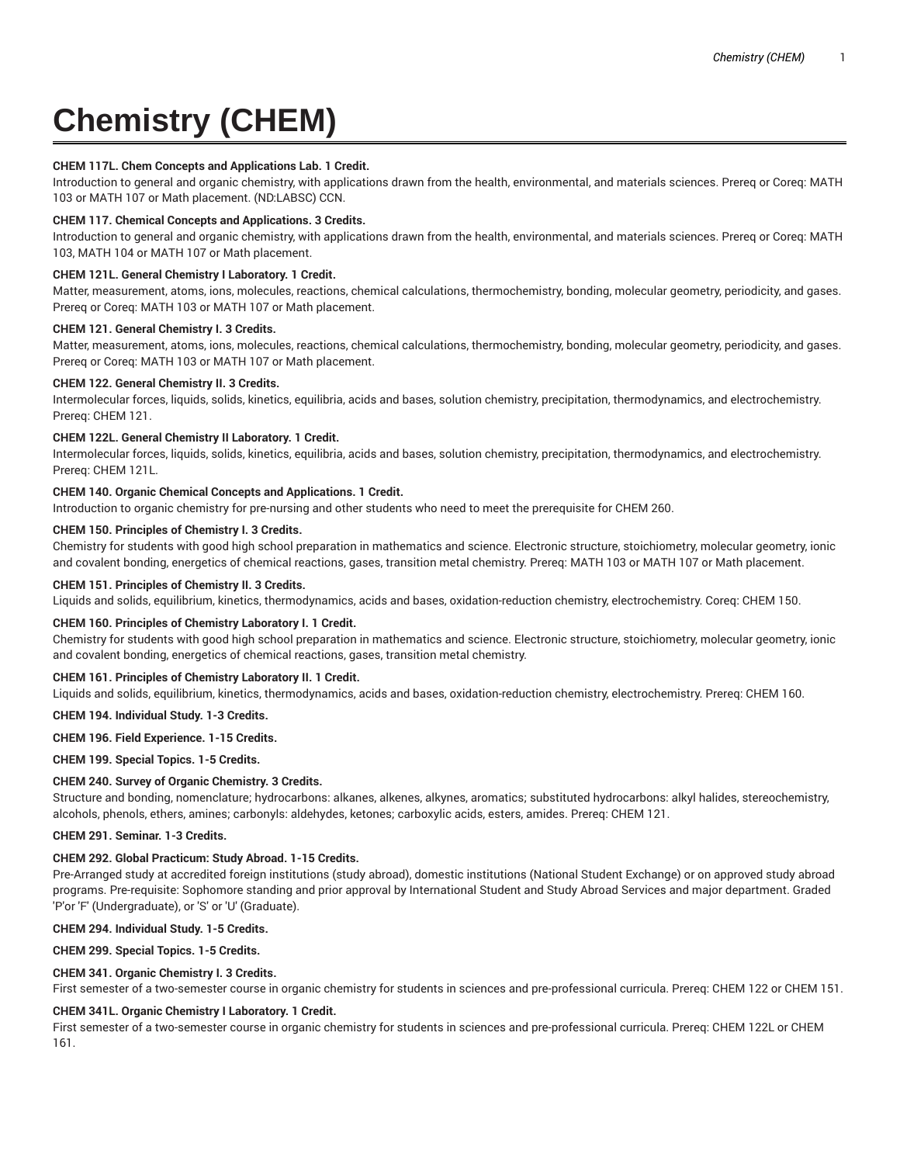# **Chemistry (CHEM)**

## **CHEM 117L. Chem Concepts and Applications Lab. 1 Credit.**

Introduction to general and organic chemistry, with applications drawn from the health, environmental, and materials sciences. Prereq or Coreq: MATH 103 or MATH 107 or Math placement. (ND:LABSC) CCN.

#### **CHEM 117. Chemical Concepts and Applications. 3 Credits.**

Introduction to general and organic chemistry, with applications drawn from the health, environmental, and materials sciences. Prereq or Coreq: MATH 103, MATH 104 or MATH 107 or Math placement.

## **CHEM 121L. General Chemistry I Laboratory. 1 Credit.**

Matter, measurement, atoms, ions, molecules, reactions, chemical calculations, thermochemistry, bonding, molecular geometry, periodicity, and gases. Prereq or Coreq: MATH 103 or MATH 107 or Math placement.

#### **CHEM 121. General Chemistry I. 3 Credits.**

Matter, measurement, atoms, ions, molecules, reactions, chemical calculations, thermochemistry, bonding, molecular geometry, periodicity, and gases. Prereq or Coreq: MATH 103 or MATH 107 or Math placement.

#### **CHEM 122. General Chemistry II. 3 Credits.**

Intermolecular forces, liquids, solids, kinetics, equilibria, acids and bases, solution chemistry, precipitation, thermodynamics, and electrochemistry. Prereq: CHEM 121.

## **CHEM 122L. General Chemistry II Laboratory. 1 Credit.**

Intermolecular forces, liquids, solids, kinetics, equilibria, acids and bases, solution chemistry, precipitation, thermodynamics, and electrochemistry. Prereq: CHEM 121L.

## **CHEM 140. Organic Chemical Concepts and Applications. 1 Credit.**

Introduction to organic chemistry for pre-nursing and other students who need to meet the prerequisite for CHEM 260.

# **CHEM 150. Principles of Chemistry I. 3 Credits.**

Chemistry for students with good high school preparation in mathematics and science. Electronic structure, stoichiometry, molecular geometry, ionic and covalent bonding, energetics of chemical reactions, gases, transition metal chemistry. Prereq: MATH 103 or MATH 107 or Math placement.

#### **CHEM 151. Principles of Chemistry II. 3 Credits.**

Liquids and solids, equilibrium, kinetics, thermodynamics, acids and bases, oxidation-reduction chemistry, electrochemistry. Coreq: CHEM 150.

## **CHEM 160. Principles of Chemistry Laboratory I. 1 Credit.**

Chemistry for students with good high school preparation in mathematics and science. Electronic structure, stoichiometry, molecular geometry, ionic and covalent bonding, energetics of chemical reactions, gases, transition metal chemistry.

## **CHEM 161. Principles of Chemistry Laboratory II. 1 Credit.**

Liquids and solids, equilibrium, kinetics, thermodynamics, acids and bases, oxidation-reduction chemistry, electrochemistry. Prereq: CHEM 160.

## **CHEM 194. Individual Study. 1-3 Credits.**

## **CHEM 196. Field Experience. 1-15 Credits.**

**CHEM 199. Special Topics. 1-5 Credits.**

## **CHEM 240. Survey of Organic Chemistry. 3 Credits.**

Structure and bonding, nomenclature; hydrocarbons: alkanes, alkenes, alkynes, aromatics; substituted hydrocarbons: alkyl halides, stereochemistry, alcohols, phenols, ethers, amines; carbonyls: aldehydes, ketones; carboxylic acids, esters, amides. Prereq: CHEM 121.

#### **CHEM 291. Seminar. 1-3 Credits.**

## **CHEM 292. Global Practicum: Study Abroad. 1-15 Credits.**

Pre-Arranged study at accredited foreign institutions (study abroad), domestic institutions (National Student Exchange) or on approved study abroad programs. Pre-requisite: Sophomore standing and prior approval by International Student and Study Abroad Services and major department. Graded 'P'or 'F' (Undergraduate), or 'S' or 'U' (Graduate).

## **CHEM 294. Individual Study. 1-5 Credits.**

## **CHEM 299. Special Topics. 1-5 Credits.**

## **CHEM 341. Organic Chemistry I. 3 Credits.**

First semester of a two-semester course in organic chemistry for students in sciences and pre-professional curricula. Prereq: CHEM 122 or CHEM 151.

## **CHEM 341L. Organic Chemistry I Laboratory. 1 Credit.**

First semester of a two-semester course in organic chemistry for students in sciences and pre-professional curricula. Prereq: CHEM 122L or CHEM 161.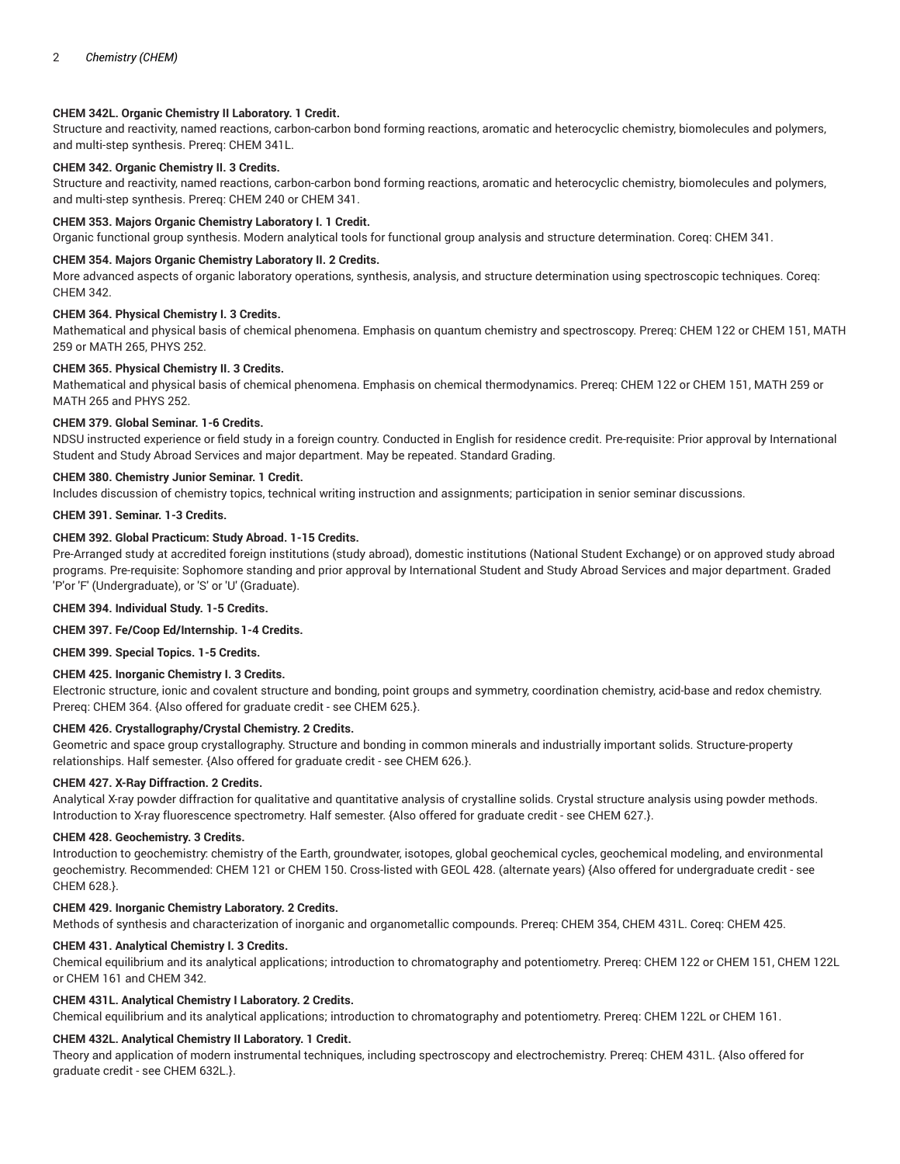# **CHEM 342L. Organic Chemistry II Laboratory. 1 Credit.**

Structure and reactivity, named reactions, carbon-carbon bond forming reactions, aromatic and heterocyclic chemistry, biomolecules and polymers, and multi-step synthesis. Prereq: CHEM 341L.

# **CHEM 342. Organic Chemistry II. 3 Credits.**

Structure and reactivity, named reactions, carbon-carbon bond forming reactions, aromatic and heterocyclic chemistry, biomolecules and polymers, and multi-step synthesis. Prereq: CHEM 240 or CHEM 341.

## **CHEM 353. Majors Organic Chemistry Laboratory I. 1 Credit.**

Organic functional group synthesis. Modern analytical tools for functional group analysis and structure determination. Coreq: CHEM 341.

## **CHEM 354. Majors Organic Chemistry Laboratory II. 2 Credits.**

More advanced aspects of organic laboratory operations, synthesis, analysis, and structure determination using spectroscopic techniques. Coreq: CHEM 342.

## **CHEM 364. Physical Chemistry I. 3 Credits.**

Mathematical and physical basis of chemical phenomena. Emphasis on quantum chemistry and spectroscopy. Prereq: CHEM 122 or CHEM 151, MATH 259 or MATH 265, PHYS 252.

## **CHEM 365. Physical Chemistry II. 3 Credits.**

Mathematical and physical basis of chemical phenomena. Emphasis on chemical thermodynamics. Prereq: CHEM 122 or CHEM 151, MATH 259 or MATH 265 and PHYS 252.

## **CHEM 379. Global Seminar. 1-6 Credits.**

NDSU instructed experience or field study in a foreign country. Conducted in English for residence credit. Pre-requisite: Prior approval by International Student and Study Abroad Services and major department. May be repeated. Standard Grading.

## **CHEM 380. Chemistry Junior Seminar. 1 Credit.**

Includes discussion of chemistry topics, technical writing instruction and assignments; participation in senior seminar discussions.

# **CHEM 391. Seminar. 1-3 Credits.**

## **CHEM 392. Global Practicum: Study Abroad. 1-15 Credits.**

Pre-Arranged study at accredited foreign institutions (study abroad), domestic institutions (National Student Exchange) or on approved study abroad programs. Pre-requisite: Sophomore standing and prior approval by International Student and Study Abroad Services and major department. Graded 'P'or 'F' (Undergraduate), or 'S' or 'U' (Graduate).

**CHEM 394. Individual Study. 1-5 Credits.**

## **CHEM 397. Fe/Coop Ed/Internship. 1-4 Credits.**

**CHEM 399. Special Topics. 1-5 Credits.**

## **CHEM 425. Inorganic Chemistry I. 3 Credits.**

Electronic structure, ionic and covalent structure and bonding, point groups and symmetry, coordination chemistry, acid-base and redox chemistry. Prereq: CHEM 364. {Also offered for graduate credit - see CHEM 625.}.

## **CHEM 426. Crystallography/Crystal Chemistry. 2 Credits.**

Geometric and space group crystallography. Structure and bonding in common minerals and industrially important solids. Structure-property relationships. Half semester. {Also offered for graduate credit - see CHEM 626.}.

#### **CHEM 427. X-Ray Diffraction. 2 Credits.**

Analytical X-ray powder diffraction for qualitative and quantitative analysis of crystalline solids. Crystal structure analysis using powder methods. Introduction to X-ray fluorescence spectrometry. Half semester. {Also offered for graduate credit - see CHEM 627.}.

#### **CHEM 428. Geochemistry. 3 Credits.**

Introduction to geochemistry: chemistry of the Earth, groundwater, isotopes, global geochemical cycles, geochemical modeling, and environmental geochemistry. Recommended: CHEM 121 or CHEM 150. Cross-listed with GEOL 428. (alternate years) {Also offered for undergraduate credit - see CHEM 628.}.

## **CHEM 429. Inorganic Chemistry Laboratory. 2 Credits.**

Methods of synthesis and characterization of inorganic and organometallic compounds. Prereq: CHEM 354, CHEM 431L. Coreq: CHEM 425.

# **CHEM 431. Analytical Chemistry I. 3 Credits.**

Chemical equilibrium and its analytical applications; introduction to chromatography and potentiometry. Prereq: CHEM 122 or CHEM 151, CHEM 122L or CHEM 161 and CHEM 342.

# **CHEM 431L. Analytical Chemistry I Laboratory. 2 Credits.**

Chemical equilibrium and its analytical applications; introduction to chromatography and potentiometry. Prereq: CHEM 122L or CHEM 161.

#### **CHEM 432L. Analytical Chemistry II Laboratory. 1 Credit.**

Theory and application of modern instrumental techniques, including spectroscopy and electrochemistry. Prereq: CHEM 431L. {Also offered for graduate credit - see CHEM 632L.}.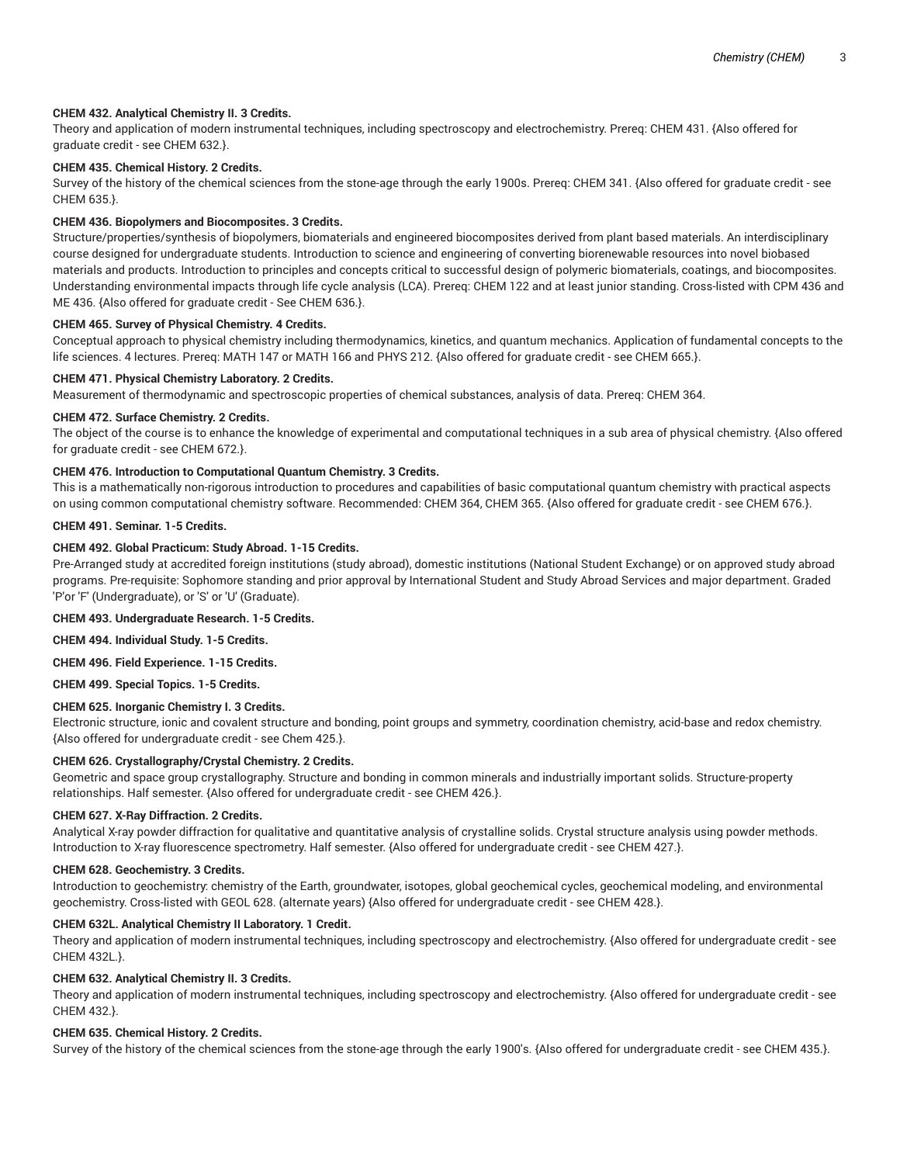## **CHEM 432. Analytical Chemistry II. 3 Credits.**

Theory and application of modern instrumental techniques, including spectroscopy and electrochemistry. Prereq: CHEM 431. {Also offered for graduate credit - see CHEM 632.}.

## **CHEM 435. Chemical History. 2 Credits.**

Survey of the history of the chemical sciences from the stone-age through the early 1900s. Prereq: CHEM 341. {Also offered for graduate credit - see CHEM 635.}.

#### **CHEM 436. Biopolymers and Biocomposites. 3 Credits.**

Structure/properties/synthesis of biopolymers, biomaterials and engineered biocomposites derived from plant based materials. An interdisciplinary course designed for undergraduate students. Introduction to science and engineering of converting biorenewable resources into novel biobased materials and products. Introduction to principles and concepts critical to successful design of polymeric biomaterials, coatings, and biocomposites. Understanding environmental impacts through life cycle analysis (LCA). Prereq: CHEM 122 and at least junior standing. Cross-listed with CPM 436 and ME 436. {Also offered for graduate credit - See CHEM 636.}.

#### **CHEM 465. Survey of Physical Chemistry. 4 Credits.**

Conceptual approach to physical chemistry including thermodynamics, kinetics, and quantum mechanics. Application of fundamental concepts to the life sciences. 4 lectures. Prereq: MATH 147 or MATH 166 and PHYS 212. {Also offered for graduate credit - see CHEM 665.}.

## **CHEM 471. Physical Chemistry Laboratory. 2 Credits.**

Measurement of thermodynamic and spectroscopic properties of chemical substances, analysis of data. Prereq: CHEM 364.

## **CHEM 472. Surface Chemistry. 2 Credits.**

The object of the course is to enhance the knowledge of experimental and computational techniques in a sub area of physical chemistry. {Also offered for graduate credit - see CHEM 672.}.

#### **CHEM 476. Introduction to Computational Quantum Chemistry. 3 Credits.**

This is a mathematically non-rigorous introduction to procedures and capabilities of basic computational quantum chemistry with practical aspects on using common computational chemistry software. Recommended: CHEM 364, CHEM 365. {Also offered for graduate credit - see CHEM 676.}.

#### **CHEM 491. Seminar. 1-5 Credits.**

# **CHEM 492. Global Practicum: Study Abroad. 1-15 Credits.**

Pre-Arranged study at accredited foreign institutions (study abroad), domestic institutions (National Student Exchange) or on approved study abroad programs. Pre-requisite: Sophomore standing and prior approval by International Student and Study Abroad Services and major department. Graded 'P'or 'F' (Undergraduate), or 'S' or 'U' (Graduate).

#### **CHEM 493. Undergraduate Research. 1-5 Credits.**

**CHEM 494. Individual Study. 1-5 Credits.**

#### **CHEM 496. Field Experience. 1-15 Credits.**

**CHEM 499. Special Topics. 1-5 Credits.**

## **CHEM 625. Inorganic Chemistry I. 3 Credits.**

Electronic structure, ionic and covalent structure and bonding, point groups and symmetry, coordination chemistry, acid-base and redox chemistry. {Also offered for undergraduate credit - see Chem 425.}.

## **CHEM 626. Crystallography/Crystal Chemistry. 2 Credits.**

Geometric and space group crystallography. Structure and bonding in common minerals and industrially important solids. Structure-property relationships. Half semester. {Also offered for undergraduate credit - see CHEM 426.}.

## **CHEM 627. X-Ray Diffraction. 2 Credits.**

Analytical X-ray powder diffraction for qualitative and quantitative analysis of crystalline solids. Crystal structure analysis using powder methods. Introduction to X-ray fluorescence spectrometry. Half semester. {Also offered for undergraduate credit - see CHEM 427.}.

#### **CHEM 628. Geochemistry. 3 Credits.**

Introduction to geochemistry: chemistry of the Earth, groundwater, isotopes, global geochemical cycles, geochemical modeling, and environmental geochemistry. Cross-listed with GEOL 628. (alternate years) {Also offered for undergraduate credit - see CHEM 428.}.

# **CHEM 632L. Analytical Chemistry II Laboratory. 1 Credit.**

Theory and application of modern instrumental techniques, including spectroscopy and electrochemistry. {Also offered for undergraduate credit - see CHEM 432L.}.

## **CHEM 632. Analytical Chemistry II. 3 Credits.**

Theory and application of modern instrumental techniques, including spectroscopy and electrochemistry. {Also offered for undergraduate credit - see CHEM 432.}.

# **CHEM 635. Chemical History. 2 Credits.**

Survey of the history of the chemical sciences from the stone-age through the early 1900's. {Also offered for undergraduate credit - see CHEM 435.}.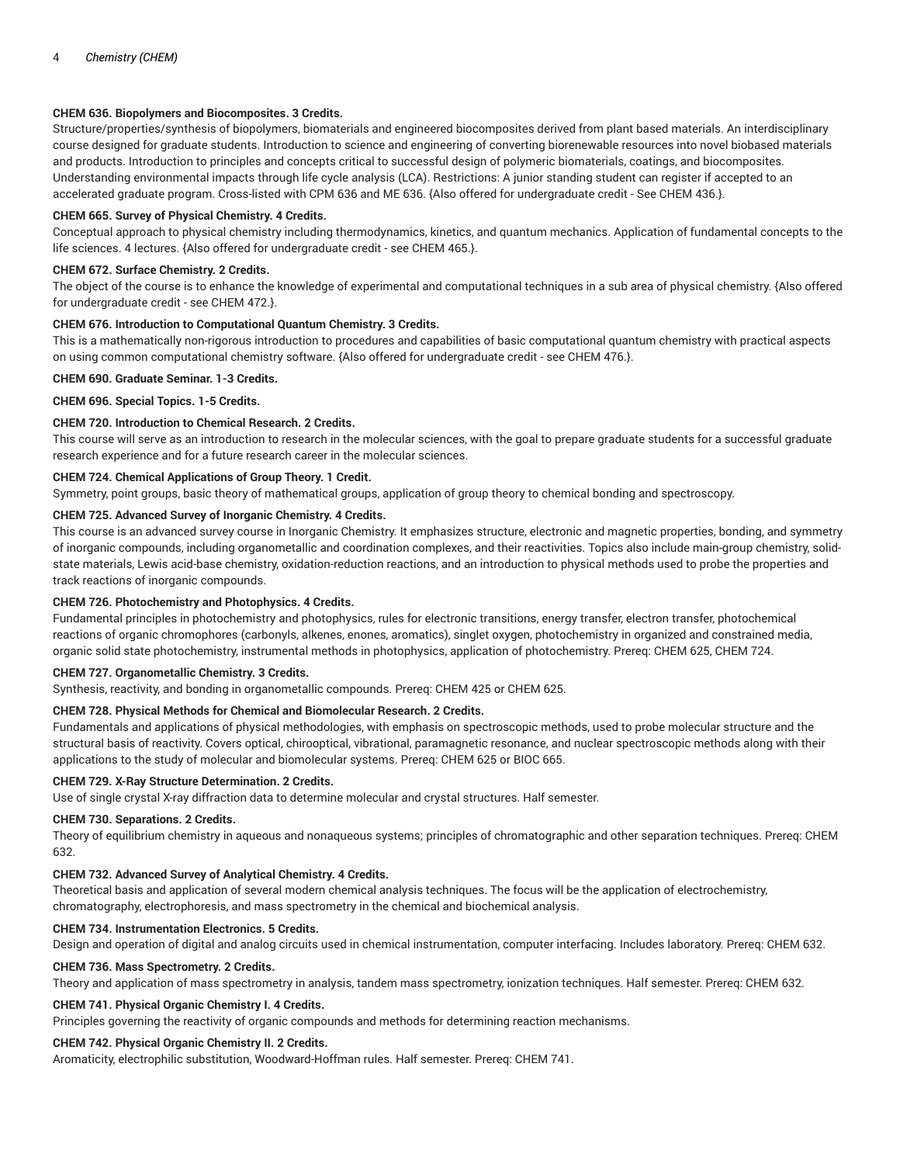# **CHEM 636. Biopolymers and Biocomposites. 3 Credits.**

Structure/properties/synthesis of biopolymers, biomaterials and engineered biocomposites derived from plant based materials. An interdisciplinary course designed for graduate students. Introduction to science and engineering of converting biorenewable resources into novel biobased materials and products. Introduction to principles and concepts critical to successful design of polymeric biomaterials, coatings, and biocomposites. Understanding environmental impacts through life cycle analysis (LCA). Restrictions: A junior standing student can register if accepted to an accelerated graduate program. Cross-listed with CPM 636 and ME 636. {Also offered for undergraduate credit - See CHEM 436.}.

## **CHEM 665. Survey of Physical Chemistry. 4 Credits.**

Conceptual approach to physical chemistry including thermodynamics, kinetics, and quantum mechanics. Application of fundamental concepts to the life sciences. 4 lectures. {Also offered for undergraduate credit - see CHEM 465.}.

## **CHEM 672. Surface Chemistry. 2 Credits.**

The object of the course is to enhance the knowledge of experimental and computational techniques in a sub area of physical chemistry. {Also offered for undergraduate credit - see CHEM 472.}.

## **CHEM 676. Introduction to Computational Quantum Chemistry. 3 Credits.**

This is a mathematically non-rigorous introduction to procedures and capabilities of basic computational quantum chemistry with practical aspects on using common computational chemistry software. {Also offered for undergraduate credit - see CHEM 476.}.

## **CHEM 690. Graduate Seminar. 1-3 Credits.**

**CHEM 696. Special Topics. 1-5 Credits.**

## **CHEM 720. Introduction to Chemical Research. 2 Credits.**

This course will serve as an introduction to research in the molecular sciences, with the goal to prepare graduate students for a successful graduate research experience and for a future research career in the molecular sciences.

## **CHEM 724. Chemical Applications of Group Theory. 1 Credit.**

Symmetry, point groups, basic theory of mathematical groups, application of group theory to chemical bonding and spectroscopy.

# **CHEM 725. Advanced Survey of Inorganic Chemistry. 4 Credits.**

This course is an advanced survey course in Inorganic Chemistry. It emphasizes structure, electronic and magnetic properties, bonding, and symmetry of inorganic compounds, including organometallic and coordination complexes, and their reactivities. Topics also include main-group chemistry, solidstate materials, Lewis acid-base chemistry, oxidation-reduction reactions, and an introduction to physical methods used to probe the properties and track reactions of inorganic compounds.

## **CHEM 726. Photochemistry and Photophysics. 4 Credits.**

Fundamental principles in photochemistry and photophysics, rules for electronic transitions, energy transfer, electron transfer, photochemical reactions of organic chromophores (carbonyls, alkenes, enones, aromatics), singlet oxygen, photochemistry in organized and constrained media, organic solid state photochemistry, instrumental methods in photophysics, application of photochemistry. Prereq: CHEM 625, CHEM 724.

#### **CHEM 727. Organometallic Chemistry. 3 Credits.**

Synthesis, reactivity, and bonding in organometallic compounds. Prereq: CHEM 425 or CHEM 625.

# **CHEM 728. Physical Methods for Chemical and Biomolecular Research. 2 Credits.**

Fundamentals and applications of physical methodologies, with emphasis on spectroscopic methods, used to probe molecular structure and the structural basis of reactivity. Covers optical, chirooptical, vibrational, paramagnetic resonance, and nuclear spectroscopic methods along with their applications to the study of molecular and biomolecular systems. Prereq: CHEM 625 or BIOC 665.

#### **CHEM 729. X-Ray Structure Determination. 2 Credits.**

Use of single crystal X-ray diffraction data to determine molecular and crystal structures. Half semester.

## **CHEM 730. Separations. 2 Credits.**

Theory of equilibrium chemistry in aqueous and nonaqueous systems; principles of chromatographic and other separation techniques. Prereq: CHEM 632.

## **CHEM 732. Advanced Survey of Analytical Chemistry. 4 Credits.**

Theoretical basis and application of several modern chemical analysis techniques. The focus will be the application of electrochemistry, chromatography, electrophoresis, and mass spectrometry in the chemical and biochemical analysis.

## **CHEM 734. Instrumentation Electronics. 5 Credits.**

Design and operation of digital and analog circuits used in chemical instrumentation, computer interfacing. Includes laboratory. Prereq: CHEM 632.

# **CHEM 736. Mass Spectrometry. 2 Credits.**

Theory and application of mass spectrometry in analysis, tandem mass spectrometry, ionization techniques. Half semester. Prereq: CHEM 632.

## **CHEM 741. Physical Organic Chemistry I. 4 Credits.**

Principles governing the reactivity of organic compounds and methods for determining reaction mechanisms.

#### **CHEM 742. Physical Organic Chemistry II. 2 Credits.**

Aromaticity, electrophilic substitution, Woodward-Hoffman rules. Half semester. Prereq: CHEM 741.